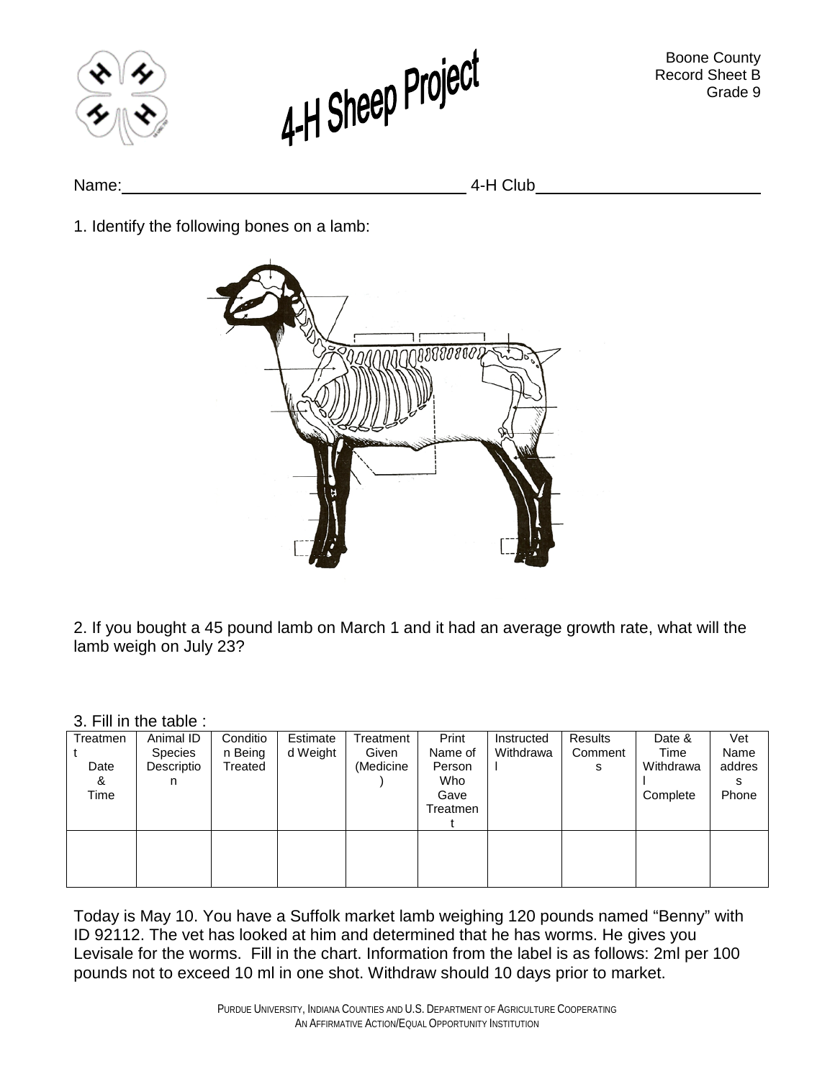



Name: 4-H Club

1. Identify the following bones on a lamb:



2. If you bought a 45 pound lamb on March 1 and it had an average growth rate, what will the lamb weigh on July 23?

## 3. Fill in the table :

| Treatmen | Animal ID      | Conditio | Estimate | Treatment | Print    | Instructed | Results | Date &    | Vet    |
|----------|----------------|----------|----------|-----------|----------|------------|---------|-----------|--------|
|          | <b>Species</b> | n Being  | d Weight | Given     | Name of  | Withdrawa  | Comment | Time      | Name   |
| Date     | Descriptio     | Treated  |          | (Medicine | Person   |            | s       | Withdrawa | addres |
| &        | n              |          |          |           | Who      |            |         |           | s      |
| Time     |                |          |          |           | Gave     |            |         | Complete  | Phone  |
|          |                |          |          |           | Treatmen |            |         |           |        |
|          |                |          |          |           |          |            |         |           |        |
|          |                |          |          |           |          |            |         |           |        |
|          |                |          |          |           |          |            |         |           |        |
|          |                |          |          |           |          |            |         |           |        |
|          |                |          |          |           |          |            |         |           |        |

Today is May 10. You have a Suffolk market lamb weighing 120 pounds named "Benny" with ID 92112. The vet has looked at him and determined that he has worms. He gives you Levisale for the worms. Fill in the chart. Information from the label is as follows: 2ml per 100 pounds not to exceed 10 ml in one shot. Withdraw should 10 days prior to market.